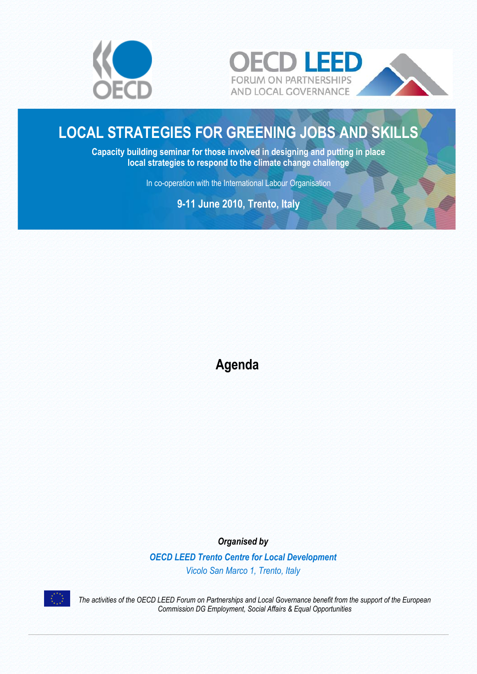





# **LOCAL STRATEGIES FOR GREENING JOBS AND SKILLS**

**Capacity building seminar for those involved in designing and putting in place local strategies to respond to the climate change challenge** 

In co-operation with the International Labour Organisation

**9-11 June 2010, Trento, Italy**

**Agenda**

*Organised by*

*OECD LEED Trento Centre for Local Development Vicolo San Marco 1, Trento, Italy*



*The activities of the OECD LEED Forum on Partnerships and Local Governance benefit from the support of the European Commission DG Employment, Social Affairs & Equal Opportunities*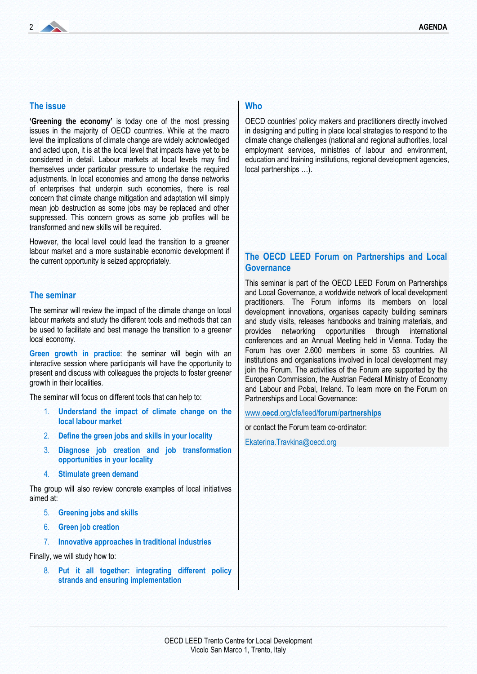

#### **The issue**

**"Greening the economy"** is today one of the most pressing issues in the majority of OECD countries. While at the macro level the implications of climate change are widely acknowledged and acted upon, it is at the local level that impacts have yet to be considered in detail. Labour markets at local levels may find themselves under particular pressure to undertake the required adjustments. In local economies and among the dense networks of enterprises that underpin such economies, there is real concern that climate change mitigation and adaptation will simply mean job destruction as some jobs may be replaced and other suppressed. This concern grows as some job profiles will be transformed and new skills will be required.

However, the local level could lead the transition to a greener labour market and a more sustainable economic development if the current opportunity is seized appropriately.

#### **The seminar**

The seminar will review the impact of the climate change on local labour markets and study the different tools and methods that can be used to facilitate and best manage the transition to a greener local economy.

**Green growth in practice**: the seminar will begin with an interactive session where participants will have the opportunity to present and discuss with colleagues the projects to foster greener growth in their localities.

The seminar will focus on different tools that can help to:

- 1. **Understand the impact of climate change on the local labour market**
- 2. **Define the green jobs and skills in your locality**
- 3. **Diagnose job creation and job transformation opportunities in your locality**
- 4. **Stimulate green demand**

The group will also review concrete examples of local initiatives aimed at:

- 5. **Greening jobs and skills**
- 6. **Green job creation**
- 7. **Innovative approaches in traditional industries**

Finally, we will study how to:

8. **Put it all together: integrating different policy strands and ensuring implementation** 

#### **Who**

OECD countries' policy makers and practitioners directly involved in designing and putting in place local strategies to respond to the climate change challenges (national and regional authorities, local employment services, ministries of labour and environment, education and training institutions, regional development agencies, local partnerships …).

#### **The OECD LEED Forum on Partnerships and Local Governance**

This seminar is part of the OECD LEED Forum on Partnerships and Local Governance, a worldwide network of local development practitioners. The Forum informs its members on local development innovations, organises capacity building seminars and study visits, releases handbooks and training materials, and provides networking opportunities through international conferences and an Annual Meeting held in Vienna. Today the Forum has over 2.600 members in some 53 countries. All institutions and organisations involved in local development may join the Forum. The activities of the Forum are supported by the European Commission, the Austrian Federal Ministry of Economy and Labour and Pobal, Ireland. To learn more on the Forum on Partnerships and Local Governance:

#### www.**oecd**.org/cfe/leed/**forum**/**[partnerships](http://www.oecd.org/cfe/leed/forum/partnerships)**

or contact the Forum team co-ordinator:

[Ekaterina.Travkina@oecd.org](mailto:Ekaterina.Travkina@oecd.org)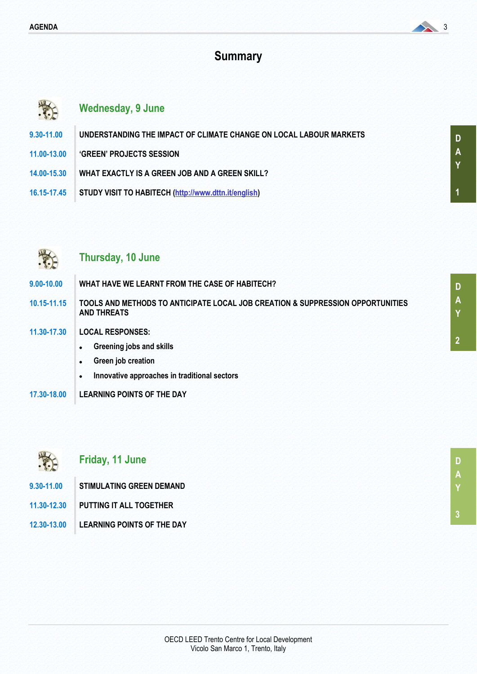

## **Summary**

#### 美 **Wednesday, 9 June**

| UNDERSTANDING THE IMPACT OF CLIMATE CHANGE ON LOCAL LABOUR MARKETS |
|--------------------------------------------------------------------|
| <b>'GREEN' PROJECTS SESSION</b>                                    |
| WHAT EXACTLY IS A GREEN JOB AND A GREEN SKILL?                     |
| STUDY VISIT TO HABITECH (http://www.dttn.it/english)               |
|                                                                    |

|             | Thursday, 10 June                                                                                                                                   |
|-------------|-----------------------------------------------------------------------------------------------------------------------------------------------------|
| 9.00-10.00  | WHAT HAVE WE LEARNT FROM THE CASE OF HABITECH?                                                                                                      |
| 10.15-11.15 | TOOLS AND METHODS TO ANTICIPATE LOCAL JOB CREATION & SUPPRESSION OPPORTUNITIES<br><b>AND THREATS</b>                                                |
| 11.30-17.30 | <b>LOCAL RESPONSES:</b><br>Greening jobs and skills<br>Green job creation<br>$\bullet$<br>Innovative approaches in traditional sectors<br>$\bullet$ |
| 17.30-18.00 | <b>LEARNING POINTS OF THE DAY</b>                                                                                                                   |



**12.30-13.00 LEARNING POINTS OF THE DAY**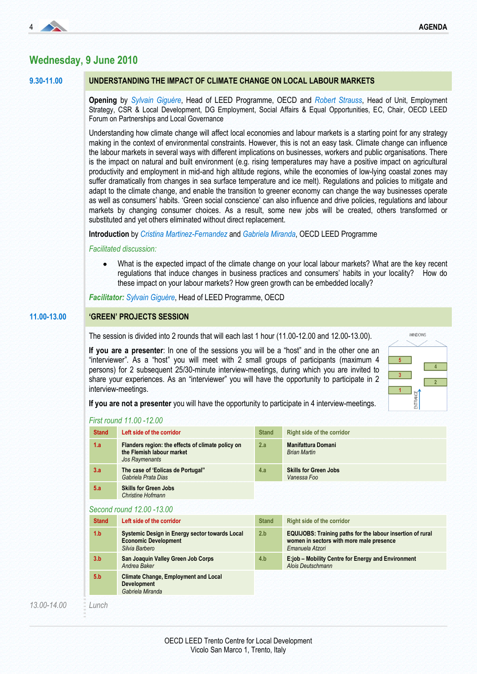### **Wednesday, 9 June 2010**

#### **9.30-11.00 UNDERSTANDING THE IMPACT OF CLIMATE CHANGE ON LOCAL LABOUR MARKETS**

**Opening** by *Sylvain Giguère*, Head of LEED Programme, OECD and *Robert Strauss*, Head of Unit, Employment Strategy, CSR & Local Development, DG Employment, Social Affairs & Equal Opportunities, EC, Chair, OECD LEED Forum on Partnerships and Local Governance

Understanding how climate change will affect local economies and labour markets is a starting point for any strategy making in the context of environmental constraints. However, this is not an easy task. Climate change can influence the labour markets in several ways with different implications on businesses, workers and public organisations. There is the impact on natural and built environment (e.g. rising temperatures may have a positive impact on agricultural productivity and employment in mid-and high altitude regions, while the economies of low-lying coastal zones may suffer dramatically from changes in sea surface temperature and ice melt). Regulations and policies to mitigate and adapt to the climate change, and enable the transition to greener economy can change the way businesses operate as well as consumers' habits. 'Green social conscience' can also influence and drive policies, regulations and labour markets by changing consumer choices. As a result, some new jobs will be created, others transformed or substituted and yet others eliminated without direct replacement.

**Introduction** by *Cristina Martinez-Fernandez* and *Gabriela Miranda*, OECD LEED Programme

*Facilitated discussion:*

What is the expected impact of the climate change on your local labour markets? What are the key recent regulations that induce changes in business practices and consumers' habits in your locality? How do these impact on your labour markets? How green growth can be embedded locally?

*Facilitator: Sylvain Giguère*, Head of LEED Programme, OECD

#### **11.00-13.00 "GREEN" PROJECTS SESSION**

The session is divided into 2 rounds that will each last 1 hour (11.00-12.00 and 12.00-13.00).

**If you are a presenter**: In one of the sessions you will be a "host" and in the other one an "interviewer". As a "host" you will meet with 2 small groups of participants (maximum 4 persons) for 2 subsequent 25/30-minute interview-meetings, during which you are invited to share your experiences. As an "interviewer" you will have the opportunity to participate in 2 interview-meetings.



**If you are not a presenter** you will have the opportunity to participate in 4 interview-meetings.

|                           | First round 11.00 -12.00 |                                                                                                         |              |                                                                                                                                  |
|---------------------------|--------------------------|---------------------------------------------------------------------------------------------------------|--------------|----------------------------------------------------------------------------------------------------------------------------------|
|                           | <b>Stand</b>             | Left side of the corridor                                                                               | <b>Stand</b> | <b>Right side of the corridor</b>                                                                                                |
|                           | 1.a                      | Flanders region: the effects of climate policy on<br>the Flemish labour market<br><b>Jos Raymenants</b> | 2.a          | Manifattura Domani<br><b>Brian Martin</b>                                                                                        |
|                           | 3.a                      | The case of 'Eolicas de Portugal"<br>Gabriela Prata Dias                                                | 4.a          | <b>Skills for Green Jobs</b><br>Vanessa Foo                                                                                      |
|                           | 5.a                      | <b>Skills for Green Jobs</b><br>Christine Hofmann                                                       |              |                                                                                                                                  |
| Second round 12.00 -13.00 |                          |                                                                                                         |              |                                                                                                                                  |
|                           | <b>Stand</b>             | Left side of the corridor                                                                               | <b>Stand</b> | <b>Right side of the corridor</b>                                                                                                |
|                           | 1.b                      | Systemic Design in Energy sector towards Local<br><b>Economic Development</b><br>Silvia Barbero         | 2.b          | <b>EQUIJOBS: Training paths for the labour insertion of rural</b><br>women in sectors with more male presence<br>Emanuela Atzori |
|                           | 3.b                      | San Joaquin Valley Green Job Corps<br>Andrea Baker                                                      | 4.b          | E:job - Mobility Centre for Energy and Environment<br>Alois Deutschmann                                                          |
|                           | 5.b                      | <b>Climate Change, Employment and Local</b><br><b>Development</b><br>Gabriela Miranda                   |              |                                                                                                                                  |

*13.00-14.00 Lunch*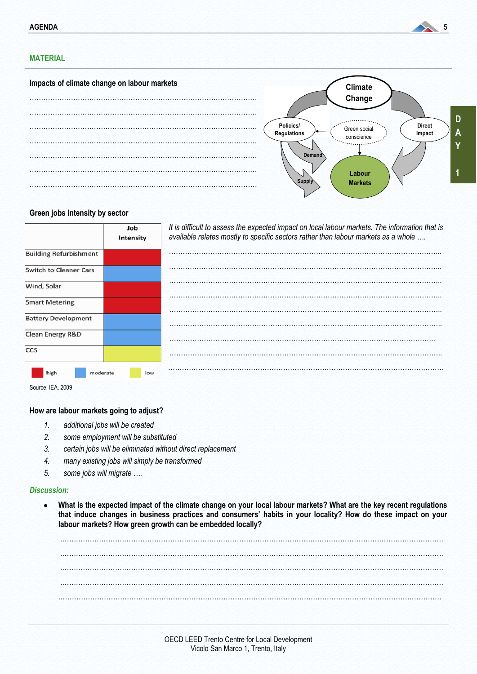



#### **Green jobs intensity by sector**

|                               | Job<br>Intensity | It is difficult to assess the expected impact on local labour markets. The information that is<br>available relates mostly to specific sectors rather than labour markets as a whole |
|-------------------------------|------------------|--------------------------------------------------------------------------------------------------------------------------------------------------------------------------------------|
| <b>Building Refurbishment</b> |                  |                                                                                                                                                                                      |
| <b>Switch to Cleaner Cars</b> |                  |                                                                                                                                                                                      |
| Wind, Solar                   |                  |                                                                                                                                                                                      |
| <b>Smart Metering</b>         |                  |                                                                                                                                                                                      |
| <b>Battery Development</b>    |                  |                                                                                                                                                                                      |
| Clean Energy R&D              |                  |                                                                                                                                                                                      |
| CCS                           |                  |                                                                                                                                                                                      |
| moderate<br>high              | low              |                                                                                                                                                                                      |

Source: IEA, 2009

#### **How are labour markets going to adjust?**

- *1. additional jobs will be created*
- *2. some employment will be substituted*
- *3. certain jobs will be eliminated without direct replacement*
- *4. many existing jobs will simply be transformed*
- *5. some jobs will migrate ….*

#### *Discussion:*

**What is the expected impact of the climate change on your local labour markets? What are the key recent regulations**   $\bullet$ **that induce changes in business practices and consumers" habits in your locality? How do these impact on your labour markets? How green growth can be embedded locally?** 

 .…………………………………………………………………………………………………………………………………………………. .…………………………………………………………………………………………………………………………………………………. .…………………………………………………………………………………………………………………………………………………. .…………………………………………………………………………………………………………………………………………………. .………………………………………………………………………………………………………………………………………………….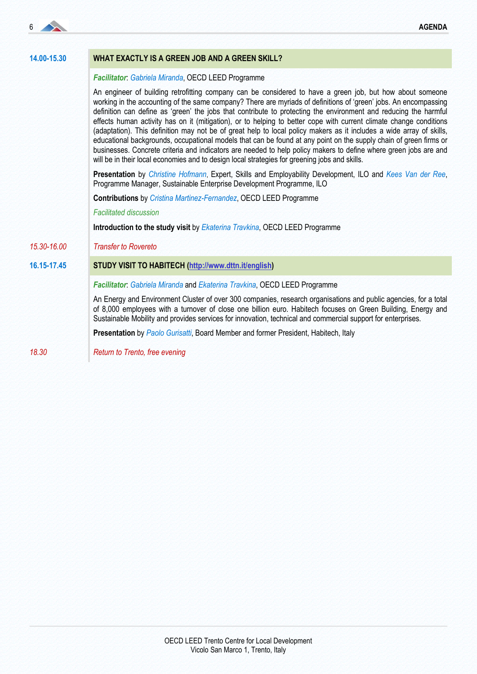

| 14.00-15.30 | WHAT EXACTLY IS A GREEN JOB AND A GREEN SKILL?                                                                                                                                                                                                                                                                                                                                                                                                                                                                                                                                                                                                                                                                                                                                                                                                                                                                                            |
|-------------|-------------------------------------------------------------------------------------------------------------------------------------------------------------------------------------------------------------------------------------------------------------------------------------------------------------------------------------------------------------------------------------------------------------------------------------------------------------------------------------------------------------------------------------------------------------------------------------------------------------------------------------------------------------------------------------------------------------------------------------------------------------------------------------------------------------------------------------------------------------------------------------------------------------------------------------------|
|             | <b>Facilitator:</b> Gabriela Miranda, OECD LEED Programme                                                                                                                                                                                                                                                                                                                                                                                                                                                                                                                                                                                                                                                                                                                                                                                                                                                                                 |
|             | An engineer of building retrofitting company can be considered to have a green job, but how about someone<br>working in the accounting of the same company? There are myriads of definitions of 'green' jobs. An encompassing<br>definition can define as 'green' the jobs that contribute to protecting the environment and reducing the harmful<br>effects human activity has on it (mitigation), or to helping to better cope with current climate change conditions<br>(adaptation). This definition may not be of great help to local policy makers as it includes a wide array of skills,<br>educational backgrounds, occupational models that can be found at any point on the supply chain of green firms or<br>businesses. Concrete criteria and indicators are needed to help policy makers to define where green jobs are and<br>will be in their local economies and to design local strategies for greening jobs and skills. |
|             | Presentation by Christine Hofmann, Expert, Skills and Employability Development, ILO and Kees Van der Ree,<br>Programme Manager, Sustainable Enterprise Development Programme, ILO                                                                                                                                                                                                                                                                                                                                                                                                                                                                                                                                                                                                                                                                                                                                                        |
|             | <b>Contributions</b> by <i>Cristina Martinez-Fernandez</i> , OECD LEED Programme                                                                                                                                                                                                                                                                                                                                                                                                                                                                                                                                                                                                                                                                                                                                                                                                                                                          |
|             | <b>Facilitated discussion</b>                                                                                                                                                                                                                                                                                                                                                                                                                                                                                                                                                                                                                                                                                                                                                                                                                                                                                                             |
|             | Introduction to the study visit by <i>Ekaterina Travkina</i> , OECD LEED Programme                                                                                                                                                                                                                                                                                                                                                                                                                                                                                                                                                                                                                                                                                                                                                                                                                                                        |
| 15.30-16.00 | <b>Transfer to Rovereto</b>                                                                                                                                                                                                                                                                                                                                                                                                                                                                                                                                                                                                                                                                                                                                                                                                                                                                                                               |
| 16.15-17.45 | <b>STUDY VISIT TO HABITECH (http://www.dttn.it/english)</b>                                                                                                                                                                                                                                                                                                                                                                                                                                                                                                                                                                                                                                                                                                                                                                                                                                                                               |
|             | <b>Facilitator:</b> Gabriela Miranda and Ekaterina Travkina, OECD LEED Programme                                                                                                                                                                                                                                                                                                                                                                                                                                                                                                                                                                                                                                                                                                                                                                                                                                                          |
|             | An Energy and Environment Cluster of over 300 companies, research organisations and public agencies, for a total<br>of 8,000 employees with a turnover of close one billion euro. Habitech focuses on Green Building, Energy and<br>Sustainable Mobility and provides services for innovation, technical and commercial support for enterprises.                                                                                                                                                                                                                                                                                                                                                                                                                                                                                                                                                                                          |
|             | Presentation by Paolo Gurisatti, Board Member and former President, Habitech, Italy                                                                                                                                                                                                                                                                                                                                                                                                                                                                                                                                                                                                                                                                                                                                                                                                                                                       |
| 18.30       | Return to Trento, free evening                                                                                                                                                                                                                                                                                                                                                                                                                                                                                                                                                                                                                                                                                                                                                                                                                                                                                                            |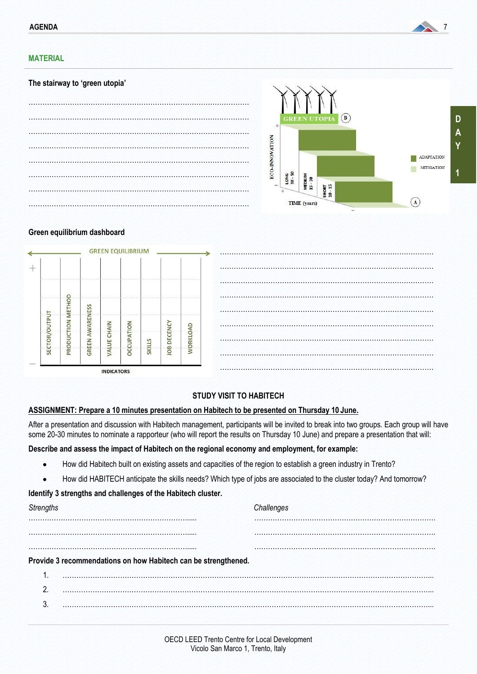

**The stairway to "green utopia"** …………………………………………………………………………………… …………………………………………………………………………………… …………………………………………………………………………………… …………………………………………………………………………………… . In the contract of the contract of  $\mathcal{L}$  ,  $\mathcal{L}$  ,  $\mathcal{L}$  ,  $\mathcal{L}$  ,  $\mathcal{L}$  ,  $\mathcal{L}$  ,  $\mathcal{L}$  ,  $\mathcal{L}$  ,  $\mathcal{L}$  ,  $\mathcal{L}$  ,  $\mathcal{L}$  ,  $\mathcal{L}$  ,  $\mathcal{L}$  ,  $\mathcal{L}$  ,  $\mathcal{L}$  ,  $\mathcal{L}$  ,  $\mathcal{L}$ …………………………………………………………………………………… …………………………………………………………………………………… ……………………………………………………………………………………



#### **Green equilibrium dashboard**



#### **STUDY VISIT TO HABITECH**

#### **ASSIGNMENT: Prepare a 10 minutes presentation on Habitech to be presented on Thursday 10 June.**

After a presentation and discussion with Habitech management, participants will be invited to break into two groups. Each group will have some 20-30 minutes to nominate a rapporteur (who will report the results on Thursday 10 June) and prepare a presentation that will:

#### **Describe and assess the impact of Habitech on the regional economy and employment, for example:**

- $\bullet$ How did Habitech built on existing assets and capacities of the region to establish a green industry in Trento?
- How did HABITECH anticipate the skills needs? Which type of jobs are associated to the cluster today? And tomorrow?

#### **Identify 3 strengths and challenges of the Habitech cluster.**

| <b>Strengths</b>                                               |   |
|----------------------------------------------------------------|---|
| .                                                              |   |
| .                                                              | . |
|                                                                |   |
| Provide 3 recommendations on how Habitech can be strengthened. |   |
|                                                                |   |
| റ                                                              |   |
| 3                                                              |   |
|                                                                |   |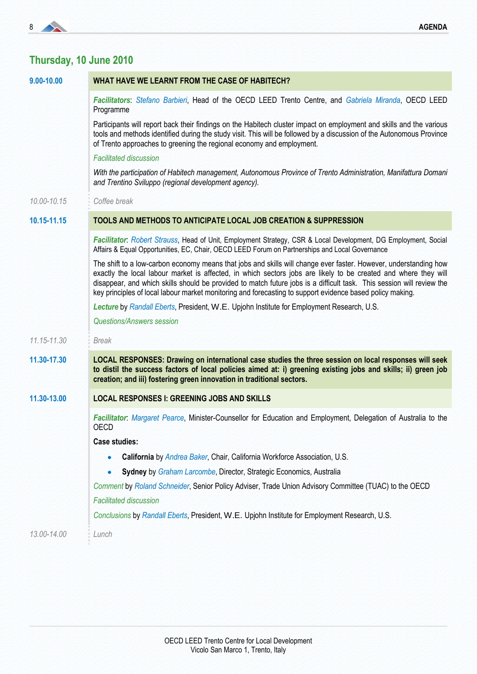# **Thursday, 10 June 2010**

| 9.00-10.00  | WHAT HAVE WE LEARNT FROM THE CASE OF HABITECH?                                                                                                                                                                                                                                                                                                                                                                                                                            |
|-------------|---------------------------------------------------------------------------------------------------------------------------------------------------------------------------------------------------------------------------------------------------------------------------------------------------------------------------------------------------------------------------------------------------------------------------------------------------------------------------|
|             | Facilitators: Stefano Barbieri, Head of the OECD LEED Trento Centre, and Gabriela Miranda, OECD LEED<br>Programme                                                                                                                                                                                                                                                                                                                                                         |
|             | Participants will report back their findings on the Habitech cluster impact on employment and skills and the various<br>tools and methods identified during the study visit. This will be followed by a discussion of the Autonomous Province<br>of Trento approaches to greening the regional economy and employment.                                                                                                                                                    |
|             | <b>Facilitated discussion</b>                                                                                                                                                                                                                                                                                                                                                                                                                                             |
|             | With the participation of Habitech management, Autonomous Province of Trento Administration, Manifattura Domani<br>and Trentino Sviluppo (regional development agency).                                                                                                                                                                                                                                                                                                   |
| 10.00-10.15 | Coffee break                                                                                                                                                                                                                                                                                                                                                                                                                                                              |
| 10.15-11.15 | TOOLS AND METHODS TO ANTICIPATE LOCAL JOB CREATION & SUPPRESSION                                                                                                                                                                                                                                                                                                                                                                                                          |
|             | Facilitator: Robert Strauss, Head of Unit, Employment Strategy, CSR & Local Development, DG Employment, Social<br>Affairs & Equal Opportunities, EC, Chair, OECD LEED Forum on Partnerships and Local Governance                                                                                                                                                                                                                                                          |
|             | The shift to a low-carbon economy means that jobs and skills will change ever faster. However, understanding how<br>exactly the local labour market is affected, in which sectors jobs are likely to be created and where they will<br>disappear, and which skills should be provided to match future jobs is a difficult task. This session will review the<br>key principles of local labour market monitoring and forecasting to support evidence based policy making. |
|             | Lecture by Randall Eberts, President, W.E. Upjohn Institute for Employment Research, U.S.                                                                                                                                                                                                                                                                                                                                                                                 |
|             | <b>Questions/Answers session</b>                                                                                                                                                                                                                                                                                                                                                                                                                                          |
| 11.15-11.30 | <b>Break</b>                                                                                                                                                                                                                                                                                                                                                                                                                                                              |
| 11.30-17.30 | LOCAL RESPONSES: Drawing on international case studies the three session on local responses will seek<br>to distil the success factors of local policies aimed at: i) greening existing jobs and skills; ii) green job<br>creation; and iii) fostering green innovation in traditional sectors.                                                                                                                                                                           |
| 11.30-13.00 | <b>LOCAL RESPONSES I: GREENING JOBS AND SKILLS</b>                                                                                                                                                                                                                                                                                                                                                                                                                        |
|             | Facilitator: Margaret Pearce, Minister-Counsellor for Education and Employment, Delegation of Australia to the<br><b>OECD</b>                                                                                                                                                                                                                                                                                                                                             |
|             | Case studies:                                                                                                                                                                                                                                                                                                                                                                                                                                                             |
|             | California by Andrea Baker, Chair, California Workforce Association, U.S.                                                                                                                                                                                                                                                                                                                                                                                                 |
|             | Sydney by Graham Larcombe, Director, Strategic Economics, Australia                                                                                                                                                                                                                                                                                                                                                                                                       |
|             | Comment by Roland Schneider, Senior Policy Adviser, Trade Union Advisory Committee (TUAC) to the OECD                                                                                                                                                                                                                                                                                                                                                                     |
|             | <b>Facilitated discussion</b>                                                                                                                                                                                                                                                                                                                                                                                                                                             |
|             | Conclusions by Randall Eberts, President, W.E. Upjohn Institute for Employment Research, U.S.                                                                                                                                                                                                                                                                                                                                                                             |
| 13.00-14.00 | Lunch                                                                                                                                                                                                                                                                                                                                                                                                                                                                     |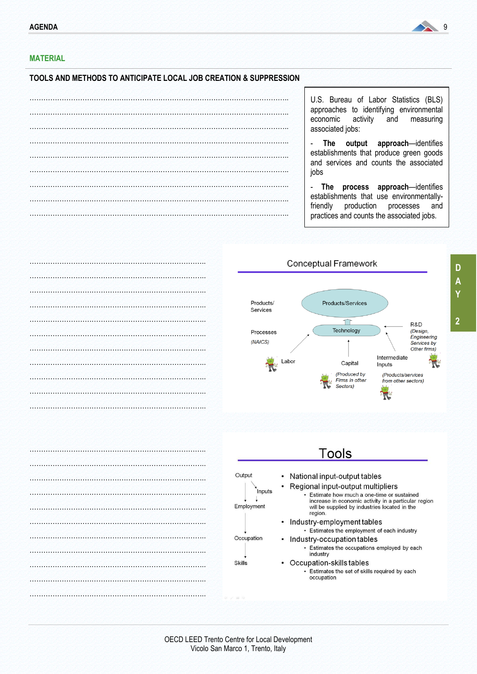

#### **TOOLS AND METHODS TO ANTICIPATE LOCAL JOB CREATION & SUPPRESSION**

………………………………………………………………………………………………….. ………………………………………………………………………………………………….. ………………………………………………………………………………………………….. ………………………………………………………………………………………………….. ………………………………………………………………………………………………….. ………………………………………………………………………………………………….. ………………………………………………………………………………………………….. ………………………………………………………………………………………………….. ………………………………………………………………………………………………….. U.S. Bureau of Labor Statistics (BLS) approaches to identifying environmental<br>economic activity and measuring activity and measuring associated jobs:

The output approach—identifies establishments that produce green goods and services and counts the associated jobs

- **The process approach**—identifies establishments that use environmentallyfriendly production processes and practices and counts the associated jobs.

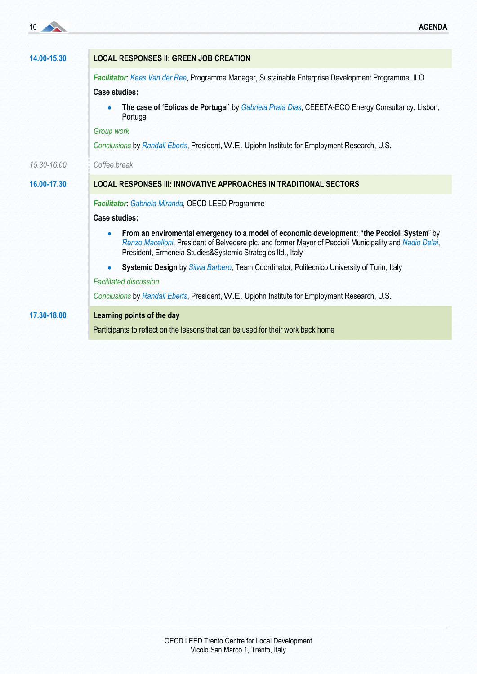

| 14.00-15.30 | <b>LOCAL RESPONSES II: GREEN JOB CREATION</b>                                                                                                                                                                                                                              |
|-------------|----------------------------------------------------------------------------------------------------------------------------------------------------------------------------------------------------------------------------------------------------------------------------|
|             | Facilitator: Kees Van der Ree, Programme Manager, Sustainable Enterprise Development Programme, ILO<br><b>Case studies:</b>                                                                                                                                                |
|             | The case of 'Eolicas de Portugal' by Gabriela Prata Dias, CEEETA-ECO Energy Consultancy, Lisbon,<br>$\bullet$<br>Portugal                                                                                                                                                  |
|             | Group work                                                                                                                                                                                                                                                                 |
|             | Conclusions by Randall Eberts, President, W.E. Upjohn Institute for Employment Research, U.S.                                                                                                                                                                              |
| 15.30-16.00 | Coffee break                                                                                                                                                                                                                                                               |
| 16.00-17.30 | LOCAL RESPONSES III: INNOVATIVE APPROACHES IN TRADITIONAL SECTORS                                                                                                                                                                                                          |
|             | <b>Facilitator:</b> Gabriela Miranda, OECD LEED Programme                                                                                                                                                                                                                  |
|             | <b>Case studies:</b>                                                                                                                                                                                                                                                       |
|             | From an enviromental emergency to a model of economic development: "the Peccioli System" by<br>۰<br>Renzo Macelloni, President of Belvedere plc. and former Mayor of Peccioli Municipality and Nadio Delai,<br>President, Ermeneia Studies&Systemic Strategies Itd., Italy |
|             | Systemic Design by Silvia Barbero, Team Coordinator, Politecnico University of Turin, Italy<br>$\bullet$                                                                                                                                                                   |
|             | <b>Facilitated discussion</b>                                                                                                                                                                                                                                              |
|             | Conclusions by Randall Eberts, President, W.E. Upjohn Institute for Employment Research, U.S.                                                                                                                                                                              |
| 17.30-18.00 | Learning points of the day                                                                                                                                                                                                                                                 |
|             | Participants to reflect on the lessons that can be used for their work back home                                                                                                                                                                                           |
|             |                                                                                                                                                                                                                                                                            |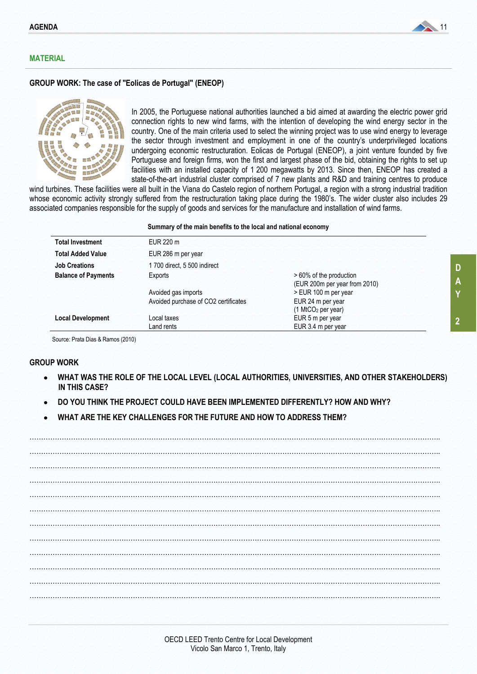

#### **GROUP WORK: The case of "Eolicas de Portugal" (ENEOP)**



In 2005, the Portuguese national authorities launched a bid aimed at awarding the electric power grid connection rights to new wind farms, with the intention of developing the wind energy sector in the country. One of the main criteria used to select the winning project was to use wind energy to leverage the sector through investment and employment in one of the country's underprivileged locations undergoing economic restructuration. Eolicas de Portugal (ENEOP), a joint venture founded by five Portuguese and foreign firms, won the first and largest phase of the bid, obtaining the rights to set up facilities with an installed capacity of 1 200 megawatts by 2013. Since then, ENEOP has created a state-of-the-art industrial cluster comprised of 7 new plants and R&D and training centres to produce

wind turbines. These facilities were all built in the Viana do Castelo region of northern Portugal, a region with a strong industrial tradition whose economic activity strongly suffered from the restructuration taking place during the 1980's. The wider cluster also includes 29 associated companies responsible for the supply of goods and services for the manufacture and installation of wind farms.

|                            | Summary of the main benefits to the local and national economy |                                                          |  |
|----------------------------|----------------------------------------------------------------|----------------------------------------------------------|--|
| <b>Total Investment</b>    | EUR 220 m                                                      |                                                          |  |
| <b>Total Added Value</b>   | EUR 286 m per year                                             |                                                          |  |
| <b>Job Creations</b>       | 1700 direct, 5 500 indirect                                    |                                                          |  |
| <b>Balance of Payments</b> | Exports                                                        | > 60% of the production<br>(EUR 200m per year from 2010) |  |
|                            | Avoided gas imports                                            | > EUR 100 m per year                                     |  |
|                            | Avoided purchase of CO2 certificates                           | EUR 24 m per year                                        |  |
|                            |                                                                | $(1$ MtCO <sub>2</sub> per year)                         |  |
| <b>Local Development</b>   | Local taxes                                                    | EUR 5 m per year                                         |  |
|                            | Land rents                                                     | EUR 3.4 m per year                                       |  |

Source: Prata Dias & Ramos (2010)

#### **GROUP WORK**

- **WHAT WAS THE ROLE OF THE LOCAL LEVEL (LOCAL AUTHORITIES, UNIVERSITIES, AND OTHER STAKEHOLDERS) IN THIS CASE?**
- **DO YOU THINK THE PROJECT COULD HAVE BEEN IMPLEMENTED DIFFERENTLY? HOW AND WHY?**
- **WHAT ARE THE KEY CHALLENGES FOR THE FUTURE AND HOW TO ADDRESS THEM?**

…………………………………………………………………………………………………………………………………………………………….. …………………………………………………………………………………………………………………………………………………………….. …………………………………………………………………………………………………………………………………………………………….. …………………………………………………………………………………………………………………………………………………………….. …………………………………………………………………………………………………………………………………………………………….. …………………………………………………………………………………………………………………………………………………………….. …………………………………………………………………………………………………………………………………………………………….. …………………………………………………………………………………………………………………………………………………………….. …………………………………………………………………………………………………………………………………………………………….. …………………………………………………………………………………………………………………………………………………………….. …………………………………………………………………………………………………………………………………………………………….. …………………………………………………………………………………………………………………………………………………………….. **2**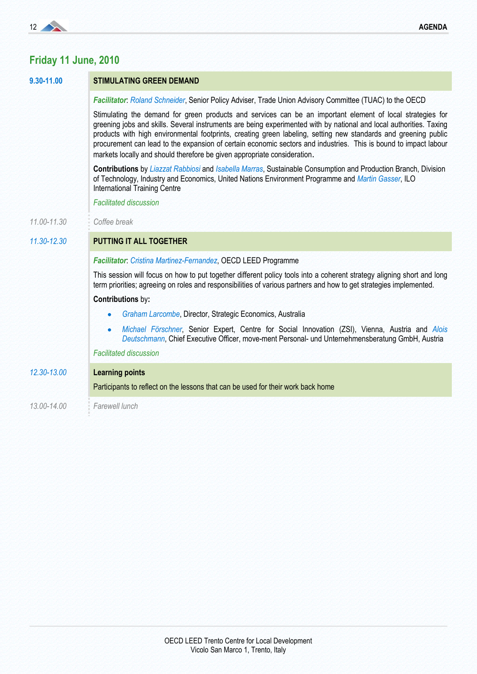

## **Friday 11 June, 2010**

| 9.30-11.00  | <b>STIMULATING GREEN DEMAND</b>                                                                                                                                                                                                                                                                                                                                                                                                                                                                                                                      |
|-------------|------------------------------------------------------------------------------------------------------------------------------------------------------------------------------------------------------------------------------------------------------------------------------------------------------------------------------------------------------------------------------------------------------------------------------------------------------------------------------------------------------------------------------------------------------|
|             | Facilitator: Roland Schneider, Senior Policy Adviser, Trade Union Advisory Committee (TUAC) to the OECD                                                                                                                                                                                                                                                                                                                                                                                                                                              |
|             | Stimulating the demand for green products and services can be an important element of local strategies for<br>greening jobs and skills. Several instruments are being experimented with by national and local authorities. Taxing<br>products with high environmental footprints, creating green labeling, setting new standards and greening public<br>procurement can lead to the expansion of certain economic sectors and industries. This is bound to impact labour<br>markets locally and should therefore be given appropriate consideration. |
|             | <b>Contributions</b> by <i>Liazzat Rabbiosi</i> and <i>Isabella Marras</i> , Sustainable Consumption and Production Branch, Division<br>of Technology, Industry and Economics, United Nations Environment Programme and Martin Gasser, ILO<br><b>International Training Centre</b>                                                                                                                                                                                                                                                                   |
|             | <b>Facilitated discussion</b>                                                                                                                                                                                                                                                                                                                                                                                                                                                                                                                        |
| 11.00-11.30 | Coffee break                                                                                                                                                                                                                                                                                                                                                                                                                                                                                                                                         |
| 11.30-12.30 | <b>PUTTING IT ALL TOGETHER</b>                                                                                                                                                                                                                                                                                                                                                                                                                                                                                                                       |
|             | <b>Facilitator:</b> Cristina Martinez-Fernandez, OECD LEED Programme                                                                                                                                                                                                                                                                                                                                                                                                                                                                                 |
|             |                                                                                                                                                                                                                                                                                                                                                                                                                                                                                                                                                      |
|             | This session will focus on how to put together different policy tools into a coherent strategy aligning short and long<br>term priorities; agreeing on roles and responsibilities of various partners and how to get strategies implemented.                                                                                                                                                                                                                                                                                                         |
|             | <b>Contributions by:</b>                                                                                                                                                                                                                                                                                                                                                                                                                                                                                                                             |
|             | Graham Larcombe, Director, Strategic Economics, Australia<br>۰                                                                                                                                                                                                                                                                                                                                                                                                                                                                                       |
|             | Michael Förschner, Senior Expert, Centre for Social Innovation (ZSI), Vienna, Austria and Alois<br>۰<br>Deutschmann, Chief Executive Officer, move-ment Personal- und Unternehmensberatung GmbH, Austria                                                                                                                                                                                                                                                                                                                                             |
|             | <b>Facilitated discussion</b>                                                                                                                                                                                                                                                                                                                                                                                                                                                                                                                        |
| 12.30-13.00 | <b>Learning points</b>                                                                                                                                                                                                                                                                                                                                                                                                                                                                                                                               |
|             | Participants to reflect on the lessons that can be used for their work back home                                                                                                                                                                                                                                                                                                                                                                                                                                                                     |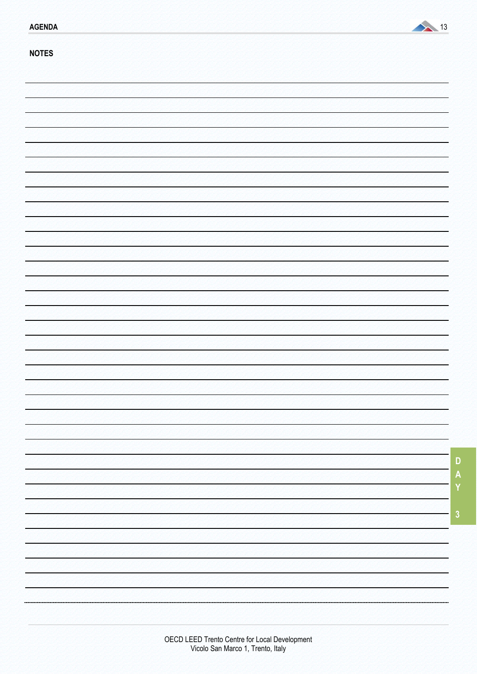| <b>AGENDA</b> | 13 |
|---------------|----|
|               |    |
| <b>NOTES</b>  |    |
|               |    |
|               |    |
|               |    |
|               |    |
|               |    |
|               |    |
|               |    |
|               |    |
|               |    |
|               |    |
|               |    |
|               |    |
|               |    |
|               |    |
|               |    |
|               |    |
|               |    |
|               |    |
|               |    |
|               |    |
|               |    |
|               |    |
|               |    |
|               |    |
|               |    |
|               |    |
|               |    |
|               |    |
|               |    |
|               |    |
|               |    |
|               |    |
|               |    |
|               |    |
|               |    |
|               |    |

**D A Y**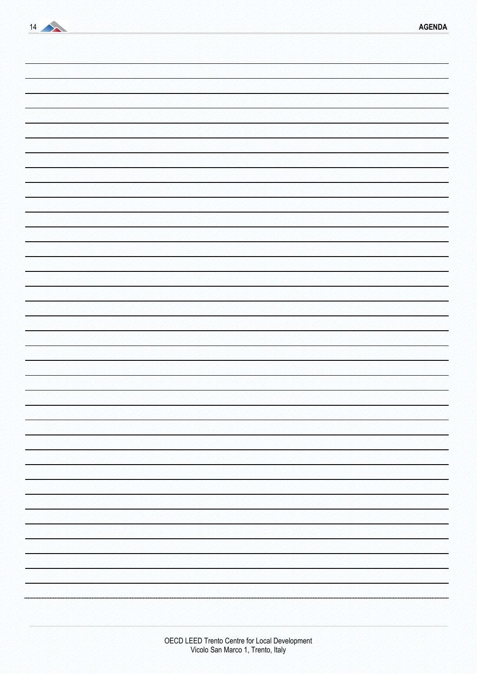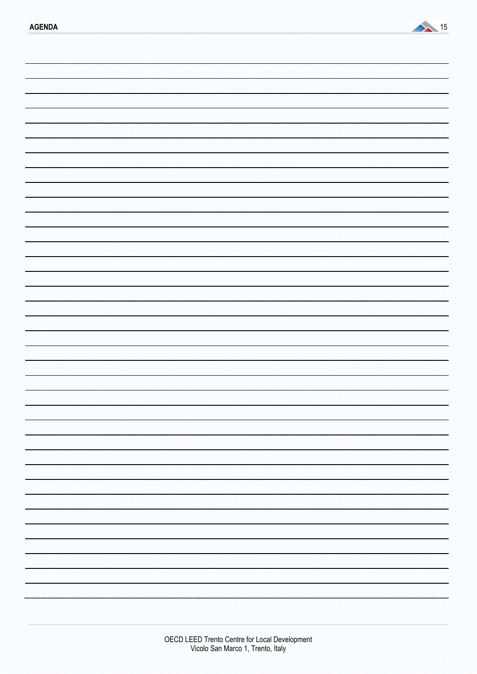![](_page_14_Picture_1.jpeg)